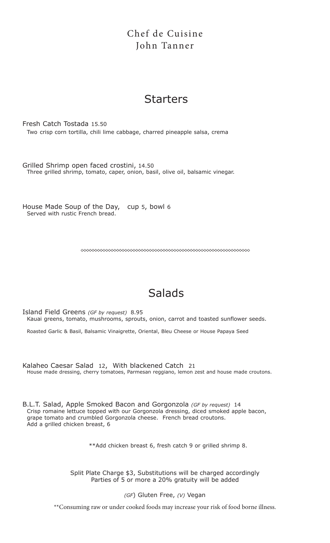### Chef de Cuisine John Tanner

## **Starters**

Fresh Catch Tostada 15.50 Two crisp corn tortilla, chili lime cabbage, charred pineapple salsa, crema

Grilled Shrimp open faced crostini, 14.50 Three grilled shrimp, tomato, caper, onion, basil, olive oil, balsamic vinegar.

House Made Soup of the Day, cup 5, bowl 6 Served with rustic French bread.

## Salads

Island Field Greens *(GF by request)* 8.95 Kauai greens, tomato, mushrooms, sprouts, onion, carrot and toasted sunflower seeds.

Roasted Garlic & Basil, Balsamic Vinaigrette, Oriental, Bleu Cheese or House Papaya Seed

Kalaheo Caesar Salad 12, With blackened Catch 21 House made dressing, cherry tomatoes, Parmesan reggiano, lemon zest and house made croutons.

B.L.T. Salad, Apple Smoked Bacon and Gorgonzola *(GF by request)* 14 Crisp romaine lettuce topped with our Gorgonzola dressing, diced smoked apple bacon, grape tomato and crumbled Gorgonzola cheese. French bread croutons. Add a grilled chicken breast, 6

\*\*Add chicken breast 6, fresh catch 9 or grilled shrimp 8.

Split Plate Charge \$3, Substitutions will be charged accordingly Parties of 5 or more a 20% gratuity will be added

*(GF*) Gluten Free, *(V)* Vegan

\*\*Consuming raw or under cooked foods may increase your risk of food borne illness.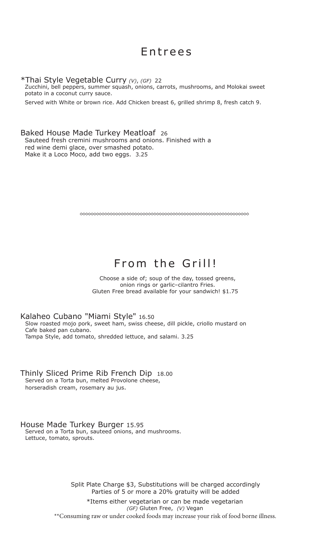## Entrees

\*Thai Style Vegetable Curry *(V)*, *(GF)* 22

Zucchini, bell peppers, summer squash, onions, carrots, mushrooms, and Molokai sweet potato in a coconut curry sauce.

Served with White or brown rice. Add Chicken breast 6, grilled shrimp 8, fresh catch 9.

Baked House Made Turkey Meatloaf 26 Sauteed fresh cremini mushrooms and onions. Finished with a red wine demi glace, over smashed potato. Make it a Loco Moco, add two eggs. 3.25

# From the Grill!

Choose a side of; soup of the day, tossed greens, onion rings or garlic–cilantro Fries. Gluten Free bread available for your sandwich! \$1.75

Kalaheo Cubano "Miami Style" 16.50 Slow roasted mojo pork, sweet ham, swiss cheese, dill pickle, criollo mustard on Cafe baked pan cubano. Tampa Style, add tomato, shredded lettuce, and salami. 3.25

Thinly Sliced Prime Rib French Dip 18.00 Served on a Torta bun, melted Provolone cheese,

horseradish cream, rosemary au jus.

House Made Turkey Burger 15.95

Served on a Torta bun, sauteed onions, and mushrooms. Lettuce, tomato, sprouts.

> Split Plate Charge \$3, Substitutions will be charged accordingly Parties of 5 or more a 20% gratuity will be added \*Items either vegetarian or can be made vegetarian *(GF)* Gluten Free, *(V)* Vegan \*\*Consuming raw or under cooked foods may increase your risk of food borne illness.